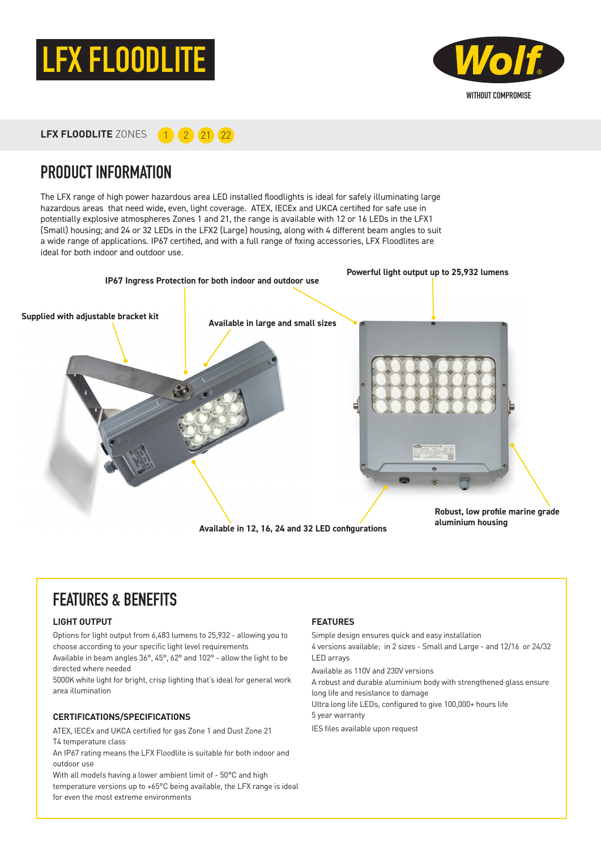



**LFX FLOODLITE** ZONES **1 2 2** 21 22

### PRODUCT INFORMATION

The LFX range of high power hazardous area LED installed floodlights is ideal for safely illuminating large hazardous areas that need wide, even, light coverage. ATEX, IECEx and UKCA certified for safe use in potentially explosive atmospheres Zones 1 and 21, the range is available with 12 or 16 LEDs in the LFX1 (Small) housing; and 24 or 32 LEDs in the LFX2 (Large) housing, along with 4 different beam angles to suit a wide range of applications. IP67 certified, and with a full range of fixing accessories, LFX Floodlites are ideal for both indoor and outdoor use.



### FEATURES & BENEFITS

#### **LIGHT OUTPUT**

Options for light output from 6,483 lumens to 25,932 - allowing you to choose according to your specific light level requirements

Available in beam angles 36°, 45°, 62° and 102° - allow the light to be directed where needed

5000K white light for bright, crisp lighting that's ideal for general work area illumination

#### **CERTIFICATIONS/SPECIFICATIONS**

ATEX, IECEx and UKCA certified for gas Zone 1 and Dust Zone 21 T4 temperature class

An IP67 rating means the LFX Floodlite is suitable for both indoor and outdoor use

With all models having a lower ambient limit of - 50°C and high temperature versions up to +65°C being available, the LFX range is ideal for even the most extreme environments

#### **FEATURES**

Simple design ensures quick and easy installation

4 versions available; in 2 sizes - Small and Large - and 12/16 or 24/32 LED arrays

Available as 110V and 230V versions

A robust and durable aluminium body with strengthened glass ensure long life and resistance to damage

Ultra long life LEDs, configured to give 100,000+ hours life

5 year warranty

IES files available upon request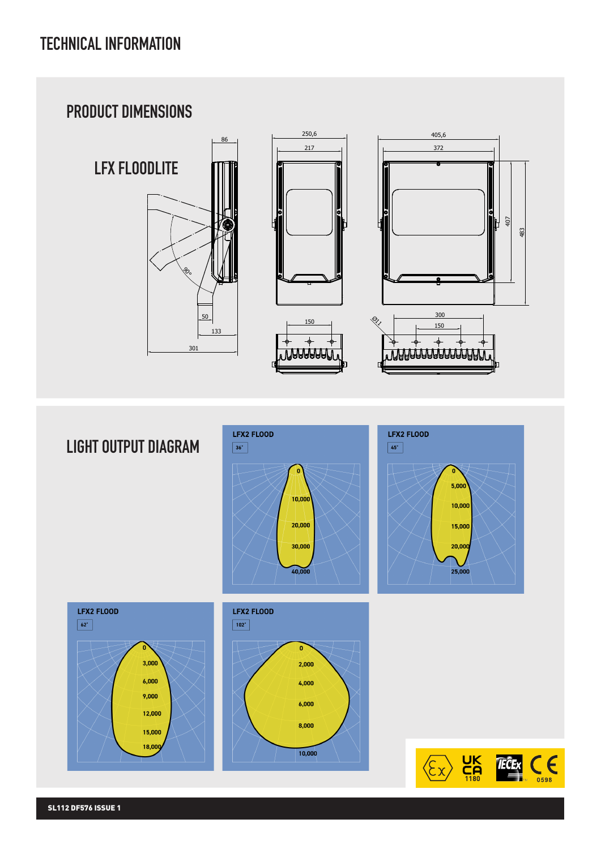## TECHNICAL INFORMATION



LIGHT OUTPUT DIAGRAM